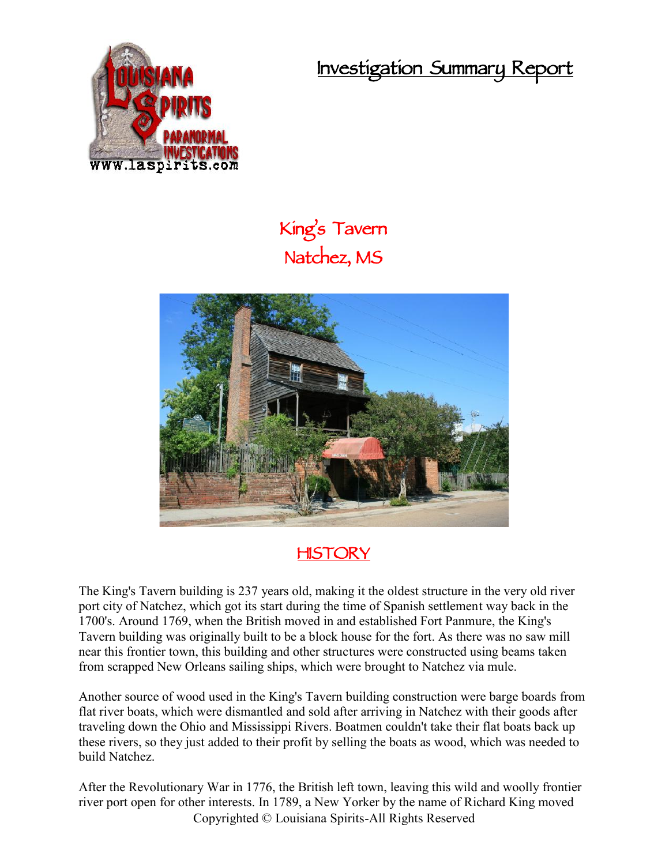**Investigation Summary Report**



## **King's Tavern Natchez, MS**



## **HISTORY**

The King's Tavern building is 237 years old, making it the oldest structure in the very old river port city of Natchez, which got its start during the time of Spanish settlement way back in the 1700's. Around 1769, when the British moved in and established Fort Panmure, the King's Tavern building was originally built to be a block house for the fort. As there was no saw mill near this frontier town, this building and other structures were constructed using beams taken from scrapped New Orleans sailing ships, which were brought to Natchez via mule.

Another source of wood used in the King's Tavern building construction were barge boards from flat river boats, which were dismantled and sold after arriving in Natchez with their goods after traveling down the Ohio and Mississippi Rivers. Boatmen couldn't take their flat boats back up these rivers, so they just added to their profit by selling the boats as wood, which was needed to build Natchez.

Copyrighted © Louisiana Spirits-All Rights Reserved After the Revolutionary War in 1776, the British left town, leaving this wild and woolly frontier river port open for other interests. In 1789, a New Yorker by the name of Richard King moved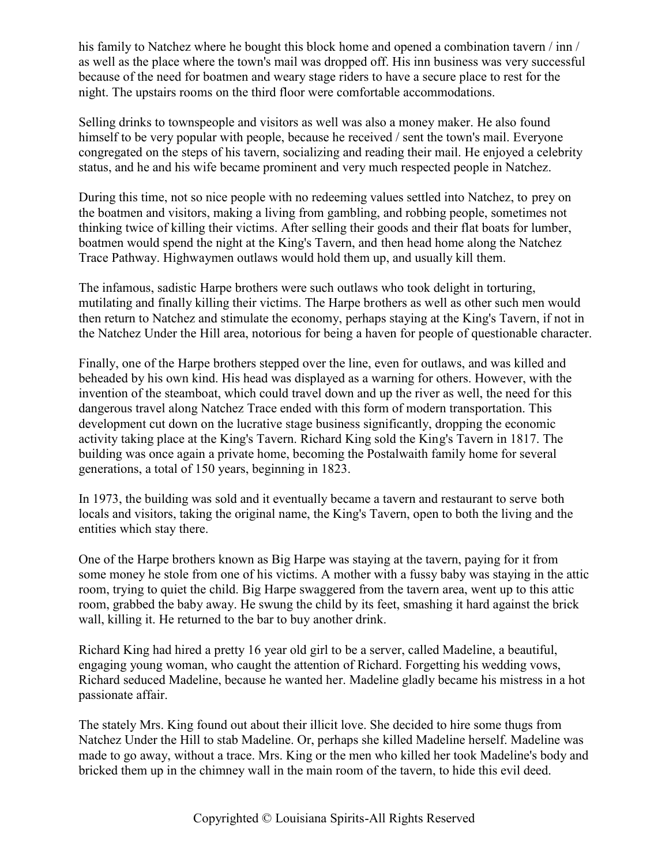his family to Natchez where he bought this block home and opened a combination tavern / inn / as well as the place where the town's mail was dropped off. His inn business was very successful because of the need for boatmen and weary stage riders to have a secure place to rest for the night. The upstairs rooms on the third floor were comfortable accommodations.

Selling drinks to townspeople and visitors as well was also a money maker. He also found himself to be very popular with people, because he received / sent the town's mail. Everyone congregated on the steps of his tavern, socializing and reading their mail. He enjoyed a celebrity status, and he and his wife became prominent and very much respected people in Natchez.

During this time, not so nice people with no redeeming values settled into Natchez, to prey on the boatmen and visitors, making a living from gambling, and robbing people, sometimes not thinking twice of killing their victims. After selling their goods and their flat boats for lumber, boatmen would spend the night at the King's Tavern, and then head home along the Natchez Trace Pathway. Highwaymen outlaws would hold them up, and usually kill them.

The infamous, sadistic Harpe brothers were such outlaws who took delight in torturing, mutilating and finally killing their victims. The Harpe brothers as well as other such men would then return to Natchez and stimulate the economy, perhaps staying at the King's Tavern, if not in the Natchez Under the Hill area, notorious for being a haven for people of questionable character.

Finally, one of the Harpe brothers stepped over the line, even for outlaws, and was killed and beheaded by his own kind. His head was displayed as a warning for others. However, with the invention of the steamboat, which could travel down and up the river as well, the need for this dangerous travel along Natchez Trace ended with this form of modern transportation. This development cut down on the lucrative stage business significantly, dropping the economic activity taking place at the King's Tavern. Richard King sold the King's Tavern in 1817. The building was once again a private home, becoming the Postalwaith family home for several generations, a total of 150 years, beginning in 1823.

In 1973, the building was sold and it eventually became a tavern and restaurant to serve both locals and visitors, taking the original name, the King's Tavern, open to both the living and the entities which stay there.

One of the Harpe brothers known as Big Harpe was staying at the tavern, paying for it from some money he stole from one of his victims. A mother with a fussy baby was staying in the attic room, trying to quiet the child. Big Harpe swaggered from the tavern area, went up to this attic room, grabbed the baby away. He swung the child by its feet, smashing it hard against the brick wall, killing it. He returned to the bar to buy another drink.

Richard King had hired a pretty 16 year old girl to be a server, called Madeline, a beautiful, engaging young woman, who caught the attention of Richard. Forgetting his wedding vows, Richard seduced Madeline, because he wanted her. Madeline gladly became his mistress in a hot passionate affair.

The stately Mrs. King found out about their illicit love. She decided to hire some thugs from Natchez Under the Hill to stab Madeline. Or, perhaps she killed Madeline herself. Madeline was made to go away, without a trace. Mrs. King or the men who killed her took Madeline's body and bricked them up in the chimney wall in the main room of the tavern, to hide this evil deed.